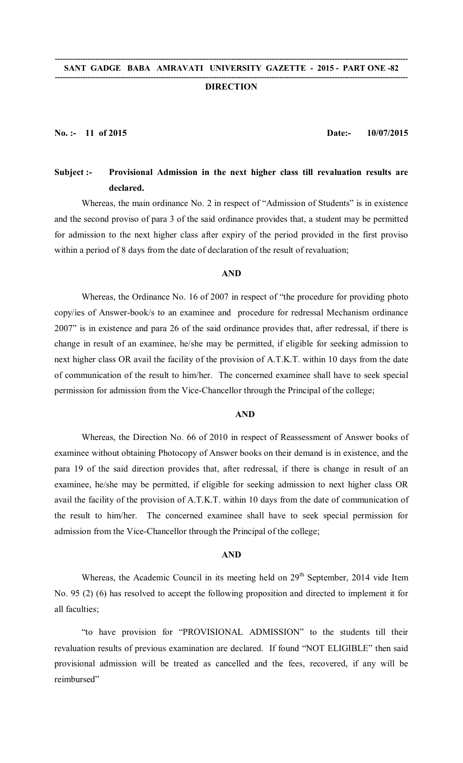#### **-------------------------------------------------------------------------------------------------------------------------------------------- SANT GADGE BABA AMRAVATI UNIVERSITY GAZETTE - 2015 - PART ONE -82**

### **-------------------------------------------------------------------------------------------------------------------------------------------- DIRECTION**

**No. :- 11 of 2015 Date:- 10/07/2015**

# **Subject :- Provisional Admission in the next higher class till revaluation results are declared.**

Whereas, the main ordinance No. 2 in respect of "Admission of Students" is in existence and the second proviso of para 3 of the said ordinance provides that, a student may be permitted for admission to the next higher class after expiry of the period provided in the first proviso within a period of 8 days from the date of declaration of the result of revaluation;

## **AND**

Whereas, the Ordinance No. 16 of 2007 in respect of "the procedure for providing photo copy/ies of Answer-book/s to an examinee and procedure for redressal Mechanism ordinance 2007" is in existence and para 26 of the said ordinance provides that, after redressal, if there is change in result of an examinee, he/she may be permitted, if eligible for seeking admission to next higher class OR avail the facility of the provision of A.T.K.T. within 10 days from the date of communication of the result to him/her. The concerned examinee shall have to seek special permission for admission from the Vice-Chancellor through the Principal of the college;

# **AND**

Whereas, the Direction No. 66 of 2010 in respect of Reassessment of Answer books of examinee without obtaining Photocopy of Answer books on their demand is in existence, and the para 19 of the said direction provides that, after redressal, if there is change in result of an examinee, he/she may be permitted, if eligible for seeking admission to next higher class OR avail the facility of the provision of A.T.K.T. within 10 days from the date of communication of the result to him/her. The concerned examinee shall have to seek special permission for admission from the Vice-Chancellor through the Principal of the college;

## **AND**

Whereas, the Academic Council in its meeting held on 29<sup>th</sup> September, 2014 vide Item No. 95 (2) (6) has resolved to accept the following proposition and directed to implement it for all faculties;

"to have provision for "PROVISIONAL ADMISSION" to the students till their revaluation results of previous examination are declared. If found "NOT ELIGIBLE" then said provisional admission will be treated as cancelled and the fees, recovered, if any will be reimbursed"